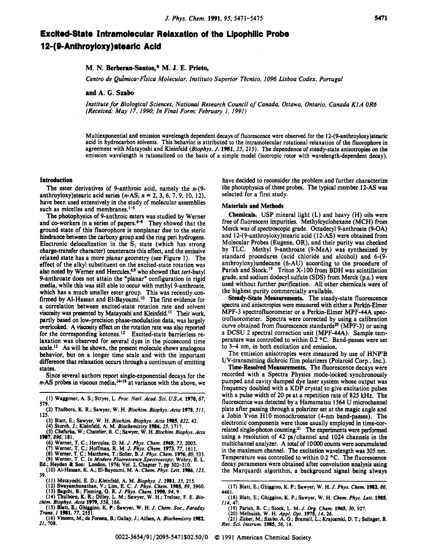# **Excited-State Intramolecular Relaxation of the Lipophilic Probe 124 9-Anthroyioxy )stearic Acid**

## **M. N. Berberan-Santos,\* M. J. E. Prieto,**

Centro de Quimica- Fisica Molecular, Instituto Superior Técnico, 1096 Lisboa Codex, Portugal

**and A. C. Szabo** 

*Institute for Biological Sciences, National Research Council of Canada, Ottawa, Ontario, Canada K1 A OR6 (Received: May 17. 1990; In Final Form: February 1, 1991)* 

Multiexponential and emission wavelength dependent decays of fluorescence were observed for the **12-(9-anthroyloxy)stearic**  acid in hydrocarbon solvents. This behavior is attributed to the intramolecular rotational relaxation of the fluorophore in agreement with Matayoshi and Kleinfeld (Biophys. J. 1981, 35, 215). The dependence of steady-state anisotropies on the emission wavelength is rationalized on the basis of a simple model (isotropic rotor with wavelength-dependent decay).

#### **Introduction**

The ester derivatives of 9-anthroic acid, namely the *n-(9*  anthroy1oxy)stearic acid series (n-AS, *n* = 2, 3, 6, 7,9, 10, 12), have been used extensively in the study of molecular assemblies such as micelles and membranes. $1-5$ 

The photophysics of 9-anthroic esters was studied by Werner and co-workers in a series of papers.<sup>6-8</sup> They showed that the ground state of this fluorophore is nonplanar due to the steric hindrance between the carboxy group and the ring peri hydrogens. Electronic delocalization in the  $S<sub>1</sub>$  state (which has strong charge-transfer character) counteracts this effect, and the emissive relaxed state has a more planar geometry (see Figure 1). The effect of the alkyl substituent on the excited-state rotation was also noted by Werner and Hercules,<sup>6,9</sup> who showed that tert-butyl 9-anthroate does not attain the "planar" configuration in rigid media, while this was still able to occur with methyl 9-anthroate, which has a much smaller ester group. This was recently confirmed by Al-Hassan and El-Bayoumi.<sup>10</sup> The first evidence for a correlation between excited-state rotation rate and solvent viscosity was presented by Matayoshi and Kleinfeld.<sup>11</sup> Their work, partly **based** on low-precision phase-modulation data, was largely overlooked. A viscosity effect on the rotation rate was also reported for the corresponding ketones.<sup>12</sup> Excited-state barrierless relaxation was observed for several dyes in the picosecond time scale.13 *As* will be shown, the present molecule shows analogous behavior, but on a longer time scale and with the important difference that relaxation **occurs** through a continuum of emitting states.

Since several authors report single-exponential decays for the *n*-AS probes in viscous media,<sup>14-18</sup> at variance with the above, we

- **(I) Waggoner, A. S.; Stryer, L.** *Proc. Natl. Acad. Sei. U.S.A.* **1970,67, 579.**
- **(2) 'bulbom, K. R.; Sawyer, W. H.** *Biochim. Biophys. Acta* **1978,511, 125.** 
	- **(3) Blatt, E.; Sawyer, W. H.** *Biochim. Biophys. Acta* **1985, 822,43.**
	- **(4) Storch, J.; Kleinfeld, A. M.** *Biochemistry* **1986, 25, 1717. (5) Chefurka, W.; Chatelier, R. C.; Sawyer, W. H.** *Biochim. Biophys. Acta*
- **1987,896, 181.** 
	- **(6) Werner, T. C.; Herculcs, D.** *M. J. Phys. Chem.* **1969, 73, 2005. (7) Werner, T. C.; Hoffman, R. M.** *J. Phys. Chem.* **1973, 77, 1611.**
	-
	- **(8) Werner, T. C.; Matthews, T.; Soller, E.** *J. Phys. Chem.* **1976,80,533. (9) Werner. T.** *C.* **In** *Modern Fluorescence Spectroscopy;* **Wchry, E. L.**
	-
- Ed.; Heyden & Son: London, 1976; Vol. 2, Chapter 7, pp 302-310.<br>
(10) Al-Hassan, K. A.; El-Bayoumi, M. A. Chem. Phys. Lett. 1986, 123, **39.**
- **(11) Matayoshi, E. D.; Kleinfeld, A. M.** *Blo hys. J. 1981,* **35, 215. (12) Swayambuntthan, V.; Lim, E. C.** *J. PGs. Chem.* **1985,89, 3960.**
- 
- **(13) Bagchi. E.; Fleming, G. R.** *J. Phys. Chem.* **1990, 94,9.**
- **(14) Thulborn, K. R.; Dilley, L. M.; Sawyer, W. H.; Treloar, F. E.** *Bio- chim. BiophyJ. Acta* **1979,558, 166.**
- **(15) Blatt, E.; Ghiggino, K. P.; Sawyer, W. H.** *1. Chem. Sa., Faraday Tram. I* **1981, 77, 2551.**
- **(16) Vincent,** *M.;* **de Foratp, B.; Gallay, J.; Aifscn, A.** *Biochemlsrry* **1982,**  *21,* **708.**

have decided to reconsider the problem and further characterize the photophysics of these probes. The typical member 12-AS was selected for a first study.

### Materials and Methods

Chemicals. USP mineral light (L) and heavy (H) oils were **free** of fluorescent impurities. Methylcyclohexane (MCH) from Merck was of spectroscopic grade. Octadecyl9-anthroate (9-OA) and **12-(9-anthroyloxy)stearic** acid (12-AS) were obtained from Molecular Probes (Eugene, OR), and their purity was checked by TLC. Methyl 9-anthroate (9-MeA) was synthesized by standard procedures (acid chloride and alcohol) and 6-(9 anthroy1oxy)undecane (6-AU) according to the procedure of Parish and Stock.<sup>19</sup> Triton X-100 from BDH was scintillation grade, and sodium dodecyl sulfate (SDS) from Merck (p.a.) were used without further purification. All other chemicals were of the highest purity commercially available.

Steady-State Measurements. The steady-state fluorescence spectra and anisotropies were measured with either a Perkin-Elmer MPF-3 spectrofluorometer or a Perkin-Elmer MPF-44A **spec**trofluorometer. Spectra were corrected by using a calibration curve obtained from fluorescence standards<sup>20</sup> (MPF-3) or using a DCSU 2 spectral correction unit (MPF-44A). Sample temperature was controlled to within  $0.2 \degree C$ . Band-passes were set to 3-4 nm, in both excitation and emission.

The emission anisotropies were measured by use of HNP'B UV-transmitting dichroic film polarizers (Polaroid Corp., Inc.).

Time-Resolved Measurements. The fluorescence decays were recorded with a Spectra Physics mode-locked synchronously pumped and cavity dumped dye laser system whose output was frequency doubled with a KDP crystal to give excitation pulses with a pulse width of 20 ps at a repetition rate of 825 kHz. The fluorescence was detected by a Hamamatsu 1564 U microchannel plate after passing through a polarizer set at the magic angle and a Jobin Yvon H10 monochromator (4-nm band-passes). The electronic components were those usually employed in time-correlated single-photon counting.<sup>21</sup> The experiments were performed using a resolution of 42 ps/channel and 1024 channels in the multichannel analyzer. **A** total of 10000 counts were accumulated in the maximum channel. The excitation wavelength was **305** nm. Temperature was controlled to within 0.2 "C. The fluorescence decay parameters were obtained after convolution analysis using the Marquardt algorithm, a background signal being always

- 
- 

**<sup>(17)</sup> Blatt, E.; Ghiggino, K. P.; Sawyer, W. H.** *J. Phys. Chem.* **1982,86, 4461.** 

**<sup>(18)</sup> Blatt, E.; Ghiggino, K. P.; Sawyer, W. H.** *Chem. Phys. Lett.* **1985, 114, 47.** 

<sup>(19)</sup> Parish, R. C.; Stock, L. M. J. Org. Chem. 1965, 30, 927.<br>(20) Melhuish, W. H. Appl. Opt. 1975, 14, 26.<br>(21) Zuker, M.; Szabo, A. G.; Bramall, L.; Krajcarski, D. T.; Selinger, B. *Rev. Sei. Instrum.* **1985, 56, 14.**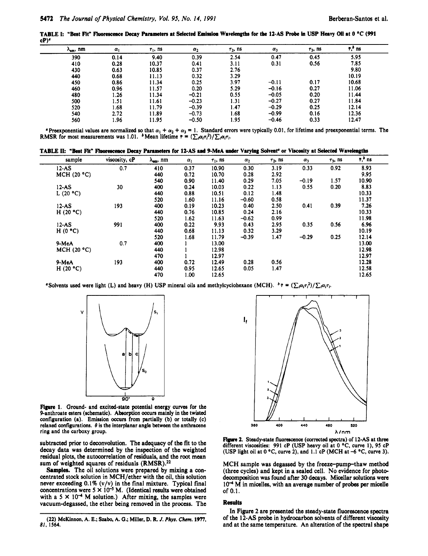TABLE I: "Best Fit" Fluorescence Decay Parameters at Selected Emission Wavelengths for the 12-AS Probe in USP Heavy Oil at 0 °C (991  $cP)$ <sup> $c$ </sup>

| ሊ <sub>em</sub> , nm | $\alpha_1$ | $\tau_1$ , ns | $\alpha_2$ | $\tau_2$ , ns | $\alpha_3$ | $\tau_3$ , ns | $\tau$ , ns |  |
|----------------------|------------|---------------|------------|---------------|------------|---------------|-------------|--|
| 390                  | 0.14       | 9.40          | 0.39       | 2.54          | 0.47       | 0.45          | 5.95        |  |
| 410                  | 0.28       | 10.37         | 0.41       | 3.11          | 0.31       | 0.56          | 7.85        |  |
| 430                  | 0.63       | 10.85         | 0.37       | 2.76          |            |               | 9.80        |  |
| 440                  | 0.68       | 11.13         | 0.32       | 3.29          |            |               | 10.19       |  |
| 450                  | 0.86       | 11.34         | 0.25       | 3.97          | $-0.11$    | 0.17          | 10.68       |  |
| 460                  | 0.96       | 11.57         | 0.20       | 5.29          | $-0.16$    | 0.27          | 11.06       |  |
| 480                  | 1.26       | 11.34         | $-0.21$    | 0.55          | $-0.05$    | 0.20          | 11.44       |  |
| 500                  | 1.51       | 11.61         | $-0.23$    | 1.31          | $-0.27$    | 0.27          | 11.84       |  |
| 520                  | 1.68       | 11.79         | $-0.39$    | 1.47          | $-0.29$    | 0.25          | 12.14       |  |
| 540                  | 2.72       | 11.89         | $-0.73$    | 1.68          | $-0.99$    | 0.16          | 12.36       |  |
| 560                  | 1.96       | 11.95         | $-0.50$    | 1.95          | $-0.46$    | 0.33          | 12.47       |  |

**Preexponential values are normalized so that**  $\alpha_1 + \alpha_2 + \alpha_3 = 1$ . Standard errors were typically 0.01, for lifetime and preexponential terms. The RMSR for most measurements was 1.01. **Mean lifetime**  $\tau = (\sum_i \alpha_i \tau_i^2)/\sum_i \$ 

|  |  |  |  |  |  |  |  | TABLE II: "Best Fit" Fluorescence Decay Parameters for 12-AS and 9-MeA under Varying Solvent <sup>o</sup> or Viscosity at Selected Wavelengths |  |
|--|--|--|--|--|--|--|--|------------------------------------------------------------------------------------------------------------------------------------------------|--|
|--|--|--|--|--|--|--|--|------------------------------------------------------------------------------------------------------------------------------------------------|--|

| sample  | viscosity, cP                                                                                                                                             | $\lambda_{\text{em}}$ , nm     | $\alpha_1$                                                                                                   | $\tau_1$ , ns                                                                                        | $\alpha_2$                                                                                                                                  | $\tau_2$ , ns                                                                                 | $\alpha_3$                                                                           | $\tau_3$ , ns                              | $\bar{\tau}$ , $\bar{b}$ ns  |                                                                                                                                  |
|---------|-----------------------------------------------------------------------------------------------------------------------------------------------------------|--------------------------------|--------------------------------------------------------------------------------------------------------------|------------------------------------------------------------------------------------------------------|---------------------------------------------------------------------------------------------------------------------------------------------|-----------------------------------------------------------------------------------------------|--------------------------------------------------------------------------------------|--------------------------------------------|------------------------------|----------------------------------------------------------------------------------------------------------------------------------|
| $12-AS$ | 0.7                                                                                                                                                       | 410                            | 0.37                                                                                                         | 10.90                                                                                                | 0.30                                                                                                                                        | 3.19                                                                                          | 0.33                                                                                 | 0.92                                       | 8.93                         |                                                                                                                                  |
|         |                                                                                                                                                           | 440                            | 0.72                                                                                                         | 10.70                                                                                                | 0.28                                                                                                                                        | 2.92                                                                                          |                                                                                      |                                            | 9.95                         |                                                                                                                                  |
|         |                                                                                                                                                           |                                |                                                                                                              |                                                                                                      | 0.29                                                                                                                                        | 7.05                                                                                          |                                                                                      | 1.57                                       | 10.90                        |                                                                                                                                  |
|         |                                                                                                                                                           |                                |                                                                                                              |                                                                                                      |                                                                                                                                             |                                                                                               |                                                                                      |                                            |                              |                                                                                                                                  |
|         |                                                                                                                                                           |                                |                                                                                                              |                                                                                                      |                                                                                                                                             |                                                                                               |                                                                                      |                                            |                              |                                                                                                                                  |
|         |                                                                                                                                                           |                                |                                                                                                              |                                                                                                      |                                                                                                                                             |                                                                                               |                                                                                      |                                            |                              |                                                                                                                                  |
|         |                                                                                                                                                           |                                |                                                                                                              |                                                                                                      |                                                                                                                                             |                                                                                               |                                                                                      |                                            |                              |                                                                                                                                  |
|         |                                                                                                                                                           |                                |                                                                                                              |                                                                                                      |                                                                                                                                             |                                                                                               |                                                                                      |                                            |                              |                                                                                                                                  |
|         |                                                                                                                                                           |                                |                                                                                                              |                                                                                                      |                                                                                                                                             |                                                                                               |                                                                                      |                                            |                              |                                                                                                                                  |
|         |                                                                                                                                                           |                                |                                                                                                              |                                                                                                      |                                                                                                                                             |                                                                                               |                                                                                      |                                            |                              |                                                                                                                                  |
|         |                                                                                                                                                           |                                |                                                                                                              |                                                                                                      |                                                                                                                                             |                                                                                               |                                                                                      |                                            |                              |                                                                                                                                  |
|         |                                                                                                                                                           |                                |                                                                                                              |                                                                                                      |                                                                                                                                             |                                                                                               |                                                                                      |                                            |                              |                                                                                                                                  |
|         |                                                                                                                                                           |                                |                                                                                                              |                                                                                                      |                                                                                                                                             |                                                                                               |                                                                                      |                                            |                              |                                                                                                                                  |
|         |                                                                                                                                                           |                                |                                                                                                              |                                                                                                      |                                                                                                                                             |                                                                                               |                                                                                      |                                            |                              |                                                                                                                                  |
|         |                                                                                                                                                           |                                |                                                                                                              |                                                                                                      |                                                                                                                                             |                                                                                               |                                                                                      |                                            |                              |                                                                                                                                  |
|         |                                                                                                                                                           |                                |                                                                                                              |                                                                                                      |                                                                                                                                             |                                                                                               |                                                                                      |                                            |                              |                                                                                                                                  |
|         |                                                                                                                                                           |                                |                                                                                                              |                                                                                                      |                                                                                                                                             |                                                                                               |                                                                                      |                                            |                              |                                                                                                                                  |
|         |                                                                                                                                                           |                                |                                                                                                              |                                                                                                      |                                                                                                                                             |                                                                                               |                                                                                      |                                            |                              |                                                                                                                                  |
|         | MCH (20 °C)<br>$12 - AS$<br>L $(20 °C)$<br>$12 - AS$<br>H $(20 °C)$<br>$12 - AS$<br>H(0 <sup>o</sup> C)<br>9-MeA<br>MCH $(20 °C)$<br>9-MeA<br>H $(20 °C)$ | 30<br>193<br>991<br>0.7<br>193 | 540<br>400<br>440<br>520<br>400<br>440<br>520<br>400<br>440<br>520<br>400<br>440<br>470<br>400<br>440<br>470 | 0.90<br>0.24<br>0.88<br>1.60<br>0.19<br>0.76<br>1.62<br>0.22<br>0.68<br>1.68<br>0.72<br>0.95<br>1.00 | 11.40<br>10.03<br>10.51<br>11.16<br>10.23<br>10.85<br>11.63<br>9.93<br>11.13<br>11.79<br>13.00<br>12.98<br>12.97<br>12.49<br>12.65<br>12.65 | 0.22<br>0.12<br>$-0.60$<br>0.40<br>0.24<br>$-0.62$<br>0.43<br>0.32<br>$-0.39$<br>0.28<br>0.05 | 1.13<br>1.48<br>0.58<br>2.50<br>2.16<br>0.99<br>2.95<br>3.29<br>1.47<br>0.56<br>1.47 | $-0.19$<br>0.55<br>0.41<br>0.35<br>$-0.29$ | 0.20<br>0.39<br>0.56<br>0.25 | 8.83<br>10.33<br>11.37<br>7.26<br>10.33<br>11.98<br>6.96<br>10.19<br>12.14<br>13.00<br>12.98<br>12.97<br>12.28<br>12.58<br>12.65 |

<sup>a</sup> Solvents used were light (L) and heavy (H) USP mineral oils and methylcyclohexane (MCH).  ${}^b\bar{\tau} = (\sum_{i} \alpha_i \tau_i^2)/(\sum_{i} \alpha_i \tau_i$ .



Figure 1. Ground- and excited-state potential energy curves for the 9-anthroate esters (schematic). Absorption occurs mainly in the twisted configuration (a). Emission occurs from partially (b) or totally (c) relaxed configurations.  $\theta$  is the interplanar angle between the anthracene ring and the carboxy group.

subtracted prior to deconvolution. The adequacy of the fit to the decay data was determined by the inspection of the weighted residual plots, the autocorrelation of residuals, and the root mean sum of weighted squares of residuals (RMSR).<sup>22</sup>

Samples. The oil solutions were prepared by mixing a concentrated stock solution in MCH/ether with the oil, this solution never exceeding  $0.1\%$  (v/v) in the final mixture. Typical final concentrations were  $5 \times 10^{-5}$  M. (Identical results were obtained with a 5  $\times$  10<sup>-4</sup> M solution.) After mixing, the samples were vacuum-degassed, the ether being removed in the process. The



Figure 2. Steady-state fluorescence (corrected spectra) of 12-AS at three different viscosities: 991 cP (USP heavy oil at 0 °C, curve 1), 95 cP (USP light oil at  $0^{\circ}$ C, curve 2), and 1.1 cP (MCH at  $-6^{\circ}$ C, curve 3).

MCH sample was degassed by the freeze-pump-thaw method (three cycles) and kept in a sealed cell. No evidence for photodecomposition was found after 30 decays. Micellar solutions were 10<sup>-4</sup> M in micelles, with an average number of probes per micelle of 0.1.

#### **Results**

In Figure 2 are presented the steady-state fluorescence spectra of the 12-AS probe in hydrocarbon solvents of different viscosity and at the same temperature. An alteration of the spectral shape

<sup>(22)</sup> McKinnon, A. E.; Szabo, A. G.; Miller, D. R. J. Phys. Chem. 1977, 81, 1564.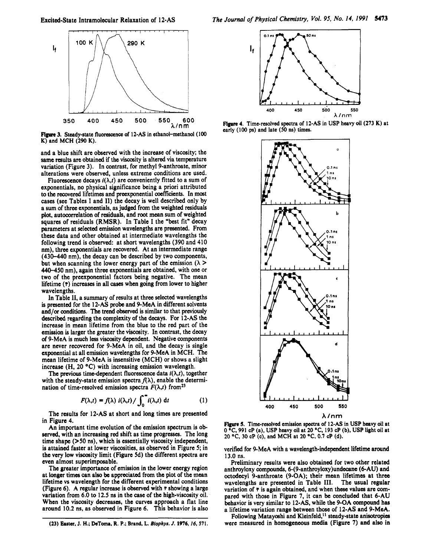

**Figure** 3. Steady-state fluorescence of **12-As** in ethanol-methanol **(100 K)** and **MCH (290 K).** 

and a blue shift are observed with the increase of viscosity; the same **results** are obtained if the viscosity is altered via temperature variation (Figure **3).** In contrast, for methyl 9-anthroate, minor alterations were observed, unless extreme conditions are used.

Fluorescence decays  $i(\lambda,t)$  are conveniently fitted to a sum of exponentials, no physical significance being a priori attributed to the recovered lifetimes and preexponential coefficients. In most cases (see Tables I and **11)** the decay is well described only by a sum of three exponentials, as judged from the weighted residuals plot, autocorrelation of residuals, and root mean sum of weighted squares of residuals (RMSR). In Table I the "best fit" decay parameters at selected emission wavelengths are presented. From these data and other obtained at intermediate wavelengths the following trend is observed: at short wavelengths **(390** and 410 nm), three exponentials are recovered. At an intermediate range **(430-440** nm), the decay can be described by two components, but when scanning the lower energy part of the emission  $(\lambda >$ **440-450** nm), again three exponentials are obtained, with one or two of the preexponential factors being negative. The mean lifetime *(T)* increases in all *cases* when going from lower to higher wavelengths.

In Table **11,** a summary of results at three selected wavelengths is presented for the 12-AS probe and 9-MeA in different solvents and/or conditions. The trend observed is similar to that previously described regarding the complexity of the decays. For 12-AS the increase in mean lifetime from the blue to the red part of the emission is larger the greater the viscosity. In contrast, the decay of 9-MeA is much less viscosity dependent. Negative components are never recovered for 9-MeA in oil, and the decay is single exponential at all emission wavelengths for 9-MeA in MCH. The mean lifetime of 9-MeA is insensitive (MCH) or shows a slight increase (H, 20 **"C)** with increasing emission wavelength.

The previous time-dependent fluorescence data  $i(\lambda,t)$ , together with the steady-state emission spectra  $f(\lambda)$ , enable the determination of time-resolved emission spectra  $F(\lambda,t)$  from<sup>23</sup>

$$
F(\lambda,t) = f(\lambda) i(\lambda,t) / \int_0^\infty i(\lambda,t) dt
$$
 (1)

The results for 12-AS at short and long times are presented in Figure **4.** 

An important time evolution of the emission spectrum is observed, with an increasing red shift as time progresses. The long time shape **(>50** ns), which is essentially viscosity independent, is attained faster at lower viscosities, as observed in Figure *5;* in the very low viscosity limit (Figure 5d) the different spectra are even almost superimposable.

The greater importance of emission in the lower energy region at longer times can also be appreciated from the plot of the mean lifetime vs wavelength for the different experimental conditions (Figure *6).* A regular increase is observed with *t* showing a large variation from *6.0* to 12.5 ns in the *case* of the high-viscosity oil. When the viscosity decreases, the curves approach a flat line around **10.2** ns, as observed in Figure **6.** This behavior is also



**Figure 4.** Time-resolved spectra of **12-As** in **USP** heavy oil **(273 K)** at early **(100 ps)** and late **(50** ns) timcs.



**Figure 5.** Time-resolved emission spectra of **12-As** in **USP heavy** oil at **0 OC, 991 CP** (a), **USP** heavy oil at **20 OC, 193 CP (b), USP** light oil at **20 OC, 30 CP (c),** and **MCH** at **20 "C, 0.7 CP** (d).

verified for 9-MeA with a wavelength-independent lifetime around 13.0 ns.

Preliminary results were also obtained for two other related anthroyloxy compounds, **6-(9-anthroyloxy)undecane** (6-AU) and octodecy1 9-anthroate (9-OA); their mean lifetimes at three wavelengths are presented in Table **111.** The usual regular variation of  $\bar{\tau}$  is again obtained, and when these values are compared with those in Figure **7,** it can be concluded that 6-AU behavior is very similar to 12-AS. while the 9-OA compound has a lifetime variation range between those of 12-AS and 9-MeA.

Following Matayoshi and Kleinfeld,<sup>11</sup> steady-state anisotropies were measured in homogeneous media (Figure **7)** and also in

**<sup>(23)</sup> Earter, J. H.; DeToma. R. P.;** Brand, L. *Blophys. J.* **1976,** *16,* **571.**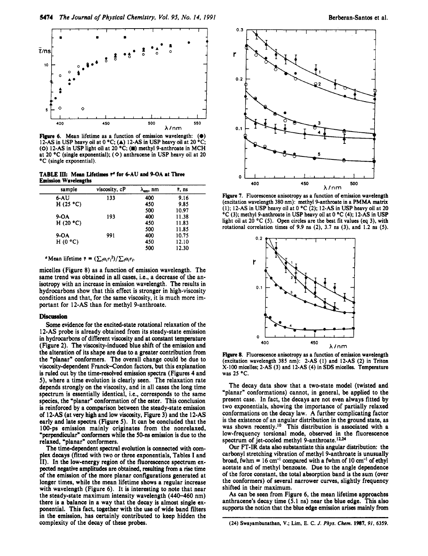

**Figure 6.** Mean lifetime as a function of emission wavelength: (@) 12-AS in USP heavy oil at 0 "C; **(A)** 12-AS in **USP** heavy oil at 20 **"C;**  (0) 12-AS in USP light oil at 20 *"C;* **(U)** methyl 9-anthroate in MCH at 20 **"C** (single exponential); *(0)* anthracene in USP heavy oil at 20 "C (single exponential).

**TABLE III: Mean Ufetimes to for 6-AU and 9-OA at Three Emission** Wavelengths

| sample      | viscosity, cP | $\lambda_{em}$ , nm | $\bar{\tau}$ , ns |  |
|-------------|---------------|---------------------|-------------------|--|
| $6 - AU$    | 133           | 400                 | 9.16              |  |
| H(25 °C)    |               | 450                 | 9.85              |  |
|             |               | 500                 | 10.97             |  |
| $9-OA$      | 193           | 400                 | 11.38             |  |
| H $(20 °C)$ |               | 450                 | 11.83             |  |
|             |               | 500                 | 11.85             |  |
| $9-OA$      | 991           | 400                 | 10.75             |  |
| H $(0 °C)$  |               | 450                 | 12.10             |  |
|             |               | 500                 | 12.30             |  |

<sup>*a*</sup> Mean lifetime  $\bar{\tau} = (\sum_i \alpha_i \tau_i^2) / \sum_i \alpha_i \tau_i$ .

micelles (Figure **8)** as a function of emission wavelength. The same trend was obtained in all cases, i.e., a decrease of the anisotropy with an increase in emission wavelength. The results in hydrocarbons show that this effect is stronger in high-viscosity conditions and that, for the same viscosity, it is much more important for **12-AS** than for methyl 9-anthroate.

## **Discussion**

Some evidence for the excited-state rotational relaxation of the **12-AS** probe is already obtained from its steady-state emission in hydrocarbons of different viscosity and at constant temperature (Figure **2).** The viscosity-induced blue shift of the emission and the alteration of its shape are due to a greater contribution from the "planar" conformers. The overall change could be due to viscosity-dependent Franck-Condon factors, but this explanation is ruled out by the time-resolved emission spectra (Figures **4** and **S),** where a time evolution is clearly seen. The relaxation rate depends strongly on the viscosity, and in all cases the long time spectrum is essentially identical, i.e., corresponds to the same species, the "planar" conformation of the ester. This conclusion is reinforced by a comparison between the steady-state emission of **12-AS** (at very high and low viscosity, Figure 3) and the **12-AS**  early and late spectra (Figure **5).** It can be concluded that the **1** 00-ps emission mainly originates from the nonrelaxed, 'perpendicular" conformers while the **SO-ns** emission is due to the relaxed, "planar" conformers.

The time-dependent spectral evolution is connected with complex decays (fitted with two or three exponentials, Tables I and 11). In the low-energy region of the fluorescence spectrum expected negative amplitudes are obtained, multing from a **rise** time of the emission of the more planar configurations generated at longer times, while the mean lifetime shows a regular increase with wavelength (Figure **6).** It is interesting to note that near the steady-state maximum intensity wavelength **(440-460** nm) there is a balance in a way that the decay is almost single exponential. This fact, together with the use of wide band filters in the emission, has certainly contributed to keep hidden the complexity of the decay of these probes.



**Figure 7.** Fluorescence anisotropy as a function of emission wavelength (excitation wavelength 380 nm): methyl 9-anthroate in a PMMA matrix **(I);** 12-AS in USP heavy oil at 0 **"C** (2); 12-AS in **USP** heavy oil at 20 **"C** (3); methyl 9-anthroate in USP heavy oil at 0 **"C** (4); 12-AS in USP light oil at 20 °C (5). Open circles are the best fit values (eq 3), with rotational correlation times of 9.9 ns (2), 3.7 ns **(3),** and 1.2 ns *(5).* 



**Figure 8.** Fluorescence anisotropy as a function of emission wavelength (excitation wavelength 385 nm): 2-AS (1) and 12-AS (2) in Triton X-100 micelles; 2-AS (3) and 12-AS (4) in **SDS** micelles. Temperature was 25 °C.

The decay data show that a two-state model (twisted and "planar" conformations) cannot, in general, be applied to the present case. In fact, the decays are not even always fitted by two exponentials, showing the importance of partially relaxed conformations on the decay law. **A** further complicating factor is the existence of an angular distribution in the ground state, as was shown recently.<sup>10</sup> This distribution is associated with a low-frequency torsional mode, observed in the fluorescence spectrum of jet-cooled methyl 9-anthroate.<sup>12,24</sup>

Our **FT-IR** data also substantiate this angular distribution: the carbonyl stretching vibration of methyl 9-anthroate is unusually broad, fwhm = **16** cm-' compared with a fwhm of **10** *cm-'* of ethyl acetate and of methyl benzoate. Due to the angle dependence of the force constant, the total absorption band is the sum (over the conformers) of several narrower curves, slightly frequency shifted in their maximum.

**As** can be seen from Figure **6,** the mean lifetime approaches anthracene's decay time **(5.1** ns) near the blue edge. This also supports the notion that the blue edge emission arises mainly from

**<sup>(24)</sup>** Swayambunathan, **V.;** Lim, **E. C.** *J. Phys. Chrm.* **1987,** *91,* **6359.**